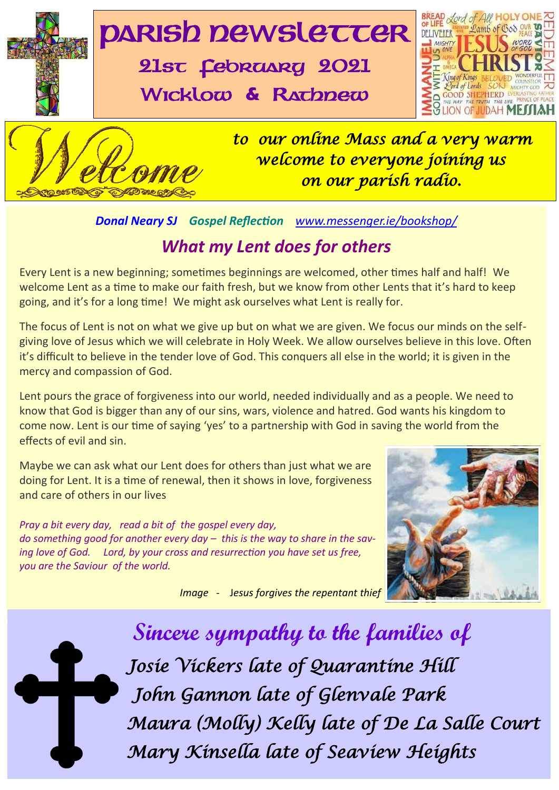

### *Donal Neary SJ Gospel Reflection [www.messenger.ie/bookshop/](http://www.messenger.ie/bookshop/)*

### *What my Lent does for others*

Every Lent is a new beginning; sometimes beginnings are welcomed, other times half and half! We welcome Lent as a time to make our faith fresh, but we know from other Lents that it's hard to keep going, and it's for a long time! We might ask ourselves what Lent is really for.

The focus of Lent is not on what we give up but on what we are given. We focus our minds on the selfgiving love of Jesus which we will celebrate in Holy Week. We allow ourselves believe in this love. Often it's difficult to believe in the tender love of God. This conquers all else in the world; it is given in the mercy and compassion of God.

mercy and compassion of God.<br>Lent pours the grace of forgiveness into our world, needed individually and as a people. We need t<br>know that God is bigger than any of our sins, wars, violence and hatred. God wants his kingdom Lent pours the grace of forgiveness into our world, needed individually and as a people. We need to come now. Lent is our time of saying 'yes' to a partnership with God in saving the world from the effects of evil and sin.

Maybe we can ask what our Lent does for others than just what we are doing for Lent. It is a time of renewal, then it shows in love, forgiveness and care of others in our lives

*Pray a bit every day, read a bit of the gospel every day, do something good for another every day – this is the way to share in the saving love of God. Lord, by your cross and resurrection you have set us free, you are the Saviour of the world.* 

 *Image -* J*esus forgives the repentant thief*



 **Sincere sympathy to the families of** *Josie Vickers late of Quarantine Hill John Gannon late of Glenvale Park Maura (Molly) Kelly late of De La Salle Court Mary Kinsella late of Seaview Heights*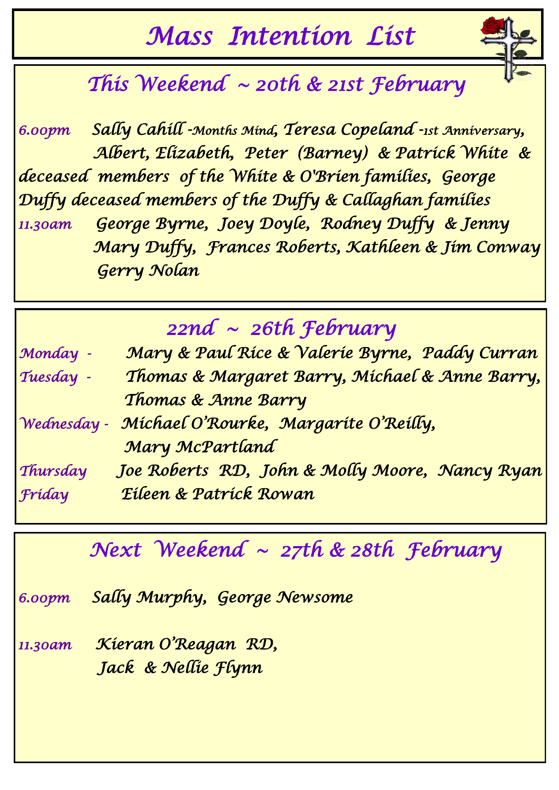# *Mass Intention List*



## *This Weekend ~ 20th & 21st February*

*6.00pm Sally Cahill -Months Mind, Teresa Copeland -1st Anniversary, Albert, Elizabeth, Peter (Barney) & Patrick White & deceased members of the White & O'Brien families, George Duffy deceased members of the Duffy & Callaghan families 11.30am George Byrne, Joey Doyle, Rodney Duffy & Jenny Mary Duffy, Frances Roberts, Kathleen & Jim Conway Gerry Nolan* 

## *22nd ~ 26th February*

| Monday -    | Mary & Paul Rice & Valerie Byrne, Paddy Curran |
|-------------|------------------------------------------------|
| Tuesday -   | Thomas & Margaret Barry, Michael & Anne Barry, |
|             | Thomas & Anne Barry                            |
| Wednesday - | Michael O'Rourke, Margarite O'Reilly,          |
|             | Mary McPartland                                |
| Thursday    | Joe Roberts RD, John & Molly Moore, Nancy Ryan |
| Fríday      | Eileen & Patrick Rowan                         |

## *Next Weekend ~ 27th & 28th February*

*6.00pm Sally Murphy, George Newsome* 

*11.30am Kieran O'Reagan RD, Jack & Nellie Flynn*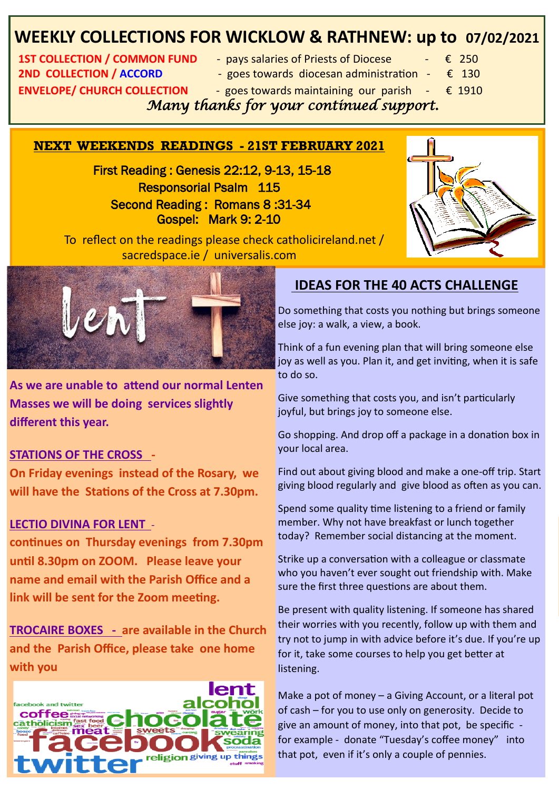### **WEEKLY COLLECTIONS FOR WICKLOW & RATHNEW: up to 07/02/2021**

**2ND COLLECTION / ACCORD** - goes towards diocesan administration  $\epsilon$  130 **ENVELOPE/ CHURCH COLLECTION** - goes towards maintaining our parish  $-\epsilon$  1910

- **1ST COLLECTION / COMMON FUND** pays salaries of Priests of Diocese  $\epsilon$  250
	-
	- -

 *Many thanks for your continued support.* 

#### **NEXT WEEKENDS READINGS - 21ST FEBRUARY 2021**

 First Reading : Genesis 22:12, 9-13, 15-18 Responsorial Psalm 115 Second Reading : Romans 8 :31-34 Gospel: Mark 9: 2-10



 To reflect on the readings please check catholicireland.net / sacredspace.ie / universalis.com



**As we are unable to attend our normal Lenten Masses we will be doing services slightly different this year.**

#### **STATIONS OF THE CROSS -**

**On Friday evenings instead of the Rosary, we will have the Stations of the Cross at 7.30pm.** 

#### **LECTIO DIVINA FOR LENT** -

**continues on Thursday evenings from 7.30pm until 8.30pm on ZOOM. Please leave your name and email with the Parish Office and a link will be sent for the Zoom meeting.** 

**TROCAIRE BOXES - are available in the Church and the Parish Office, please take one home with you** 



### **IDEAS FOR THE 40 ACTS CHALLENGE**

Do something that costs you nothing but brings someone else joy: a walk, a view, a book.

Think of a fun evening plan that will bring someone else joy as well as you. Plan it, and get inviting, when it is safe to do so.

Give something that costs you, and isn't particularly joyful, but brings joy to someone else.

Go shopping. And drop off a package in a donation box in your local area.

Find out about giving blood and make a one-off trip. Start giving blood regularly and give blood as often as you can.

Spend some quality time listening to a friend or family member. Why not have breakfast or lunch together today? Remember social distancing at the moment.

Strike up a conversation with a colleague or classmate who you haven't ever sought out friendship with. Make sure the first three questions are about them.

**Congratus Congress Congress Congress Congress Congress Congress Congress Congress Congress Congress Congress Congress Congress Congress Congress Congress Congress Congress Congress Congress Congress Congress Congress Cong** Be present with quality listening. If someone has shared their worries with you recently, follow up with them and try not to jump in with advice before it's due. If you're up for it, take some courses to help you get better at listening.

for example - donate "Tuesday's coffee money" into **Parties COCO LEE** give an amount of money, into that pot, be specific **Franchise Collection** and that pot, even if it's only a couple of pennies. of cash – for you to use only on generosity. Decide to